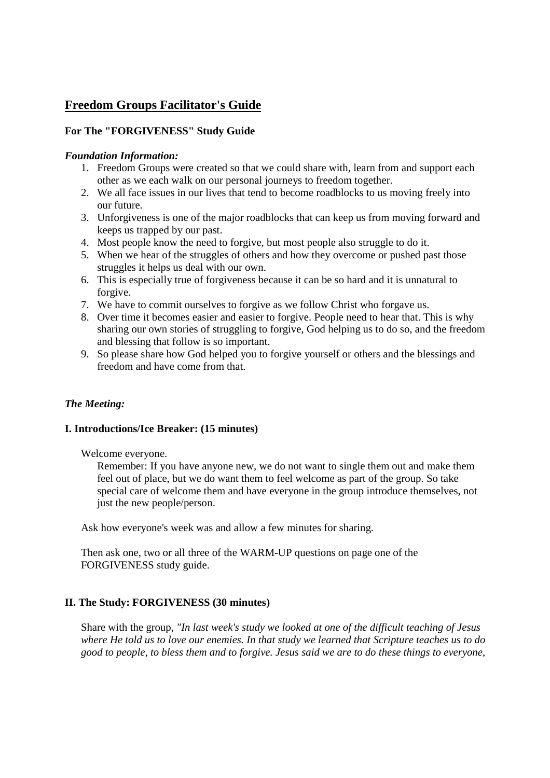# **Freedom Groups Facilitator's Guide**

# **For The "FORGIVENESS" Study Guide**

### *Foundation Information:*

- 1. Freedom Groups were created so that we could share with, learn from and support each other as we each walk on our personal journeys to freedom together.
- 2. We all face issues in our lives that tend to become roadblocks to us moving freely into our future.
- 3. Unforgiveness is one of the major roadblocks that can keep us from moving forward and keeps us trapped by our past.
- 4. Most people know the need to forgive, but most people also struggle to do it.
- 5. When we hear of the struggles of others and how they overcome or pushed past those struggles it helps us deal with our own.
- 6. This is especially true of forgiveness because it can be so hard and it is unnatural to forgive.
- 7. We have to commit ourselves to forgive as we follow Christ who forgave us.
- 8. Over time it becomes easier and easier to forgive. People need to hear that. This is why sharing our own stories of struggling to forgive, God helping us to do so, and the freedom and blessing that follow is so important.
- 9. So please share how God helped you to forgive yourself or others and the blessings and freedom and have come from that.

### *The Meeting:*

#### **I. Introductions/Ice Breaker: (15 minutes)**

Welcome everyone.

Remember: If you have anyone new, we do not want to single them out and make them feel out of place, but we do want them to feel welcome as part of the group. So take special care of welcome them and have everyone in the group introduce themselves, not just the new people/person.

Ask how everyone's week was and allow a few minutes for sharing.

Then ask one, two or all three of the WARM-UP questions on page one of the FORGIVENESS study guide.

## **II. The Study: FORGIVENESS (30 minutes)**

Share with the group, *"In last week's study we looked at one of the difficult teaching of Jesus where He told us to love our enemies. In that study we learned that Scripture teaches us to do good to people, to bless them and to forgive. Jesus said we are to do these things to everyone,*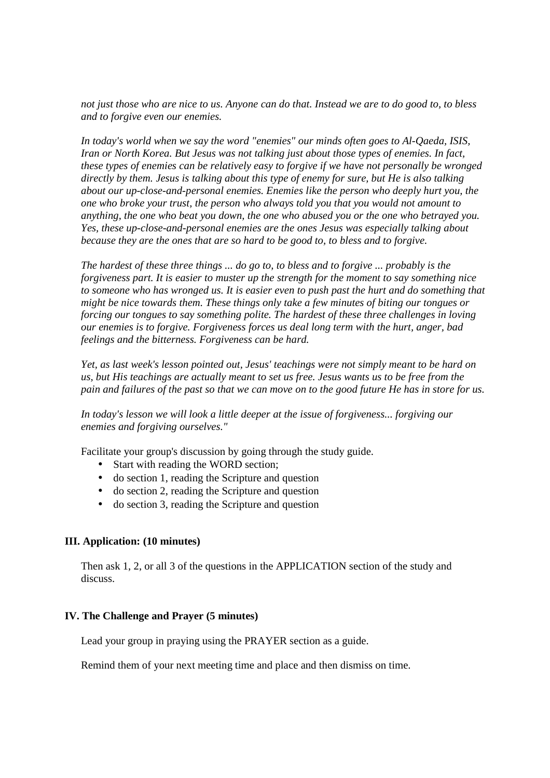*not just those who are nice to us. Anyone can do that. Instead we are to do good to, to bless and to forgive even our enemies.* 

*In today's world when we say the word "enemies" our minds often goes to Al-Qaeda, ISIS, Iran or North Korea. But Jesus was not talking just about those types of enemies. In fact, these types of enemies can be relatively easy to forgive if we have not personally be wronged directly by them. Jesus is talking about this type of enemy for sure, but He is also talking about our up-close-and-personal enemies. Enemies like the person who deeply hurt you, the one who broke your trust, the person who always told you that you would not amount to anything, the one who beat you down, the one who abused you or the one who betrayed you. Yes, these up-close-and-personal enemies are the ones Jesus was especially talking about because they are the ones that are so hard to be good to, to bless and to forgive.* 

*The hardest of these three things ... do go to, to bless and to forgive ... probably is the forgiveness part. It is easier to muster up the strength for the moment to say something nice to someone who has wronged us. It is easier even to push past the hurt and do something that might be nice towards them. These things only take a few minutes of biting our tongues or forcing our tongues to say something polite. The hardest of these three challenges in loving our enemies is to forgive. Forgiveness forces us deal long term with the hurt, anger, bad feelings and the bitterness. Forgiveness can be hard.* 

*Yet, as last week's lesson pointed out, Jesus' teachings were not simply meant to be hard on us, but His teachings are actually meant to set us free. Jesus wants us to be free from the pain and failures of the past so that we can move on to the good future He has in store for us.* 

*In today's lesson we will look a little deeper at the issue of forgiveness... forgiving our enemies and forgiving ourselves."* 

Facilitate your group's discussion by going through the study guide.

- Start with reading the WORD section;
- do section 1, reading the Scripture and question
- do section 2, reading the Scripture and question
- do section 3, reading the Scripture and question

#### **III. Application: (10 minutes)**

Then ask 1, 2, or all 3 of the questions in the APPLICATION section of the study and discuss.

#### **IV. The Challenge and Prayer (5 minutes)**

Lead your group in praying using the PRAYER section as a guide.

Remind them of your next meeting time and place and then dismiss on time.